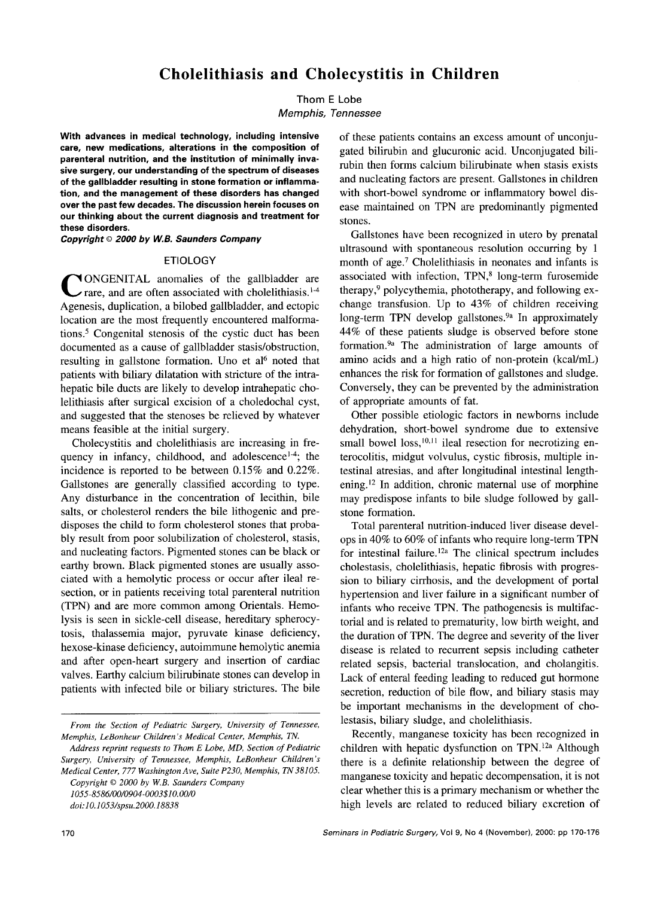Thom E Lobe

*Memphis, Tennessee* 

With advances in medical technology, including intensive care, new medications, alterations in the composition of parenteral nutrition, and the institution of minimally invasive surgery, our understanding of the spectrum of diseases of the gallbladder resulting in stone formation or inflammation, and the management of these disorders has changed over the past few decades. The discussion herein focuses on our thinking about the current diagnosis and treatment for these disorders.

*Copyright* © *2000 by W.B. Saunders Company* 

## **ETIOLOGY**

**NONGENITAL** anomalies of the gallbladder are rare, and are often associated with cholelithiasis.<sup>1-4</sup> Agenesis, duplication, a bilobed gallbladder, and ectopic location are the most frequently encountered malformations.5 Congenital stenosis of the cystic duct has been documented as a cause of gallbladder stasis/obstruction, resulting in gallstone formation. Uno et al<sup>6</sup> noted that patients with biliary dilatation with stricture of the intrahepatic bile ducts are likely to develop intrahepatic cholelithiasis after surgical excision of a choledochal cyst, and suggested that the stenoses be relieved by whatever means feasible at the initial surgery.

Cholecystitis and cholelithiasis are increasing in frequency in infancy, childhood, and adolescence<sup>1-4</sup>; the incidence is reported to be between 0.15% and 0.22%. Gallstones are generally classified according to type. Any disturbance in the concentration of lecithin, bile salts, or cholesterol renders the bile lithogenic and predisposes the child to form cholesterol stones that probably result from poor solubilization of cholesterol, stasis, and nucleating factors. Pigmented stones can be black or earthy brown. Black pigmented stones are usually associated with a hemolytic process or occur after ileal resection, or in patients receiving total parenteral nutrition (TPN) and are more common among Orientals. Hemolysis is seen in sickle-cell disease, hereditary spherocytosis, thalassemia major, pyruvate kinase deficiency, hexose-kinase deficiency, autoimmune hemolytic anemia and after open-heart surgery and insertion of cardiac valves. Earthy calcium bilirubinate stones can develop in patients with infected bile or biliary strictures. The bile

*Copyright* © *2000 by W.B. Saunders Company 1055-8586/00/0904-0003\$10.00/0 doi:* 1 *0.1 053/spsu.2000.18838* 

of these patients contains an excess amount of unconjugated bilirubin and glucuronic acid. Unconjugated bilirubin then forms calcium bilirubinate when stasis exists and nucleating factors are present. Gallstones in children with short-bowel syndrome or inflammatory bowel disease maintained on TPN are predominantly pigmented stones.

Gallstones have been recognized in utero by prenatal ultrasound with spontaneous resolution occurring by 1 month of age.7 Cholelithiasis in neonates and infants is associated with infection, TPN,<sup>8</sup> long-term furosemide therapy,9 polycythemia, phototherapy, and following exchange transfusion. Up to 43% of children receiving long-term TPN develop gallstones.<sup>9a</sup> In approximately 44% of these patients sludge is observed before stone formation.9a The administration of large amounts of amino acids and a high ratio of non-protein (kcal/mL) enhances the risk for formation of gallstones and sludge. Conversely, they can be prevented by the administration of appropriate amounts of fat.

Other possible etiologic factors in newborns include dehydration, short-bowel syndrome due to extensive small bowel loss,<sup>10,11</sup> ileal resection for necrotizing enterocolitis, midgut volvulus, cystic fibrosis, multiple intestinal atresias, and after longitudinal intestinal lengthening.12 In addition, chronic maternal use of morphine may predispose infants to bile sludge followed by gallstone formation.

Total parenteral nutrition-induced liver disease develops in 40% to 60% of infants who require long-term TPN for intestinal failure. 12a The clinical spectrum includes cholestasis, cholelithiasis, hepatic fibrosis with progression to biliary cirrhosis, and the development of portal hypertension and liver failure in a significant number of infants who receive TPN. The pathogenesis is multifactorial and is related to prematurity, low birth weight, and the duration of TPN. The degree and severity of the liver disease is related to recurrent sepsis including catheter related sepsis, bacterial translocation, and cholangitis. Lack of enteral feeding leading to reduced gut hormone secretion, reduction of bile flow, and biliary stasis may be important mechanisms in the development of cholestasis, biliary sludge, and cholelithiasis.

Recently, manganese toxicity has been recognized in children with hepatic dysfunction on TPN.12a Although there is a definite relationship between the degree of manganese toxicity and hepatic decompensation, it is not clear whether this is a primary mechanism or whether the high levels are related to reduced biliary excretion of

*From the Section of Pediatric Surgery, University of Tennessee, Memphis, LeBonheur Children's Medical Center, Memphis, TN.* 

*Address reprint requests to Thom E Lobe, MD, Section of Pediatric Surgery, University of Tennessee, Memphis, LeBonheur Children's Medical Center,* 777 *Washington Ave, Suite P230, Memphis, TN 38105.*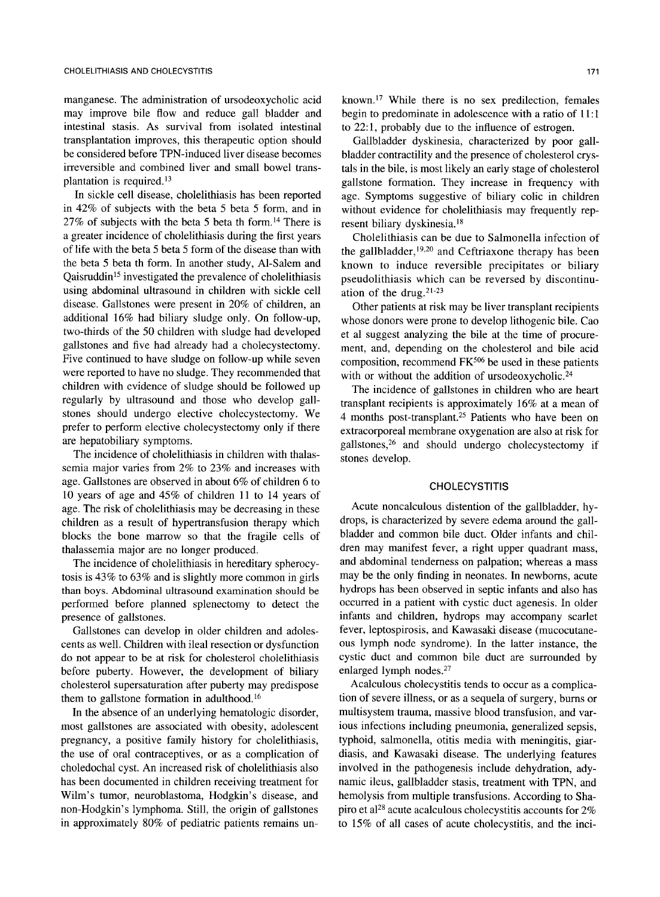manganese. The administration of ursodeoxycholic acid may improve bile flow and reduce gall bladder and intestinal stasis. As survival from isolated intestinal transplantation improves, this therapeutic option should be considered before TPN-induced liver disease becomes irreversible and combined liver and small bowel transplantation is required.13

In sickle cell disease, cholelithiasis has been reported in 42% of subjects with the beta 5 beta 5 form, and in 27% of subjects with the beta 5 beta th form. 14 There is a greater incidence of cholelithiasis during the first years of life with the beta 5 beta 5 form of the disease than with the beta 5 beta th form. In another study, AI-Salem and Qaisruddin<sup>15</sup> investigated the prevalence of cholelithiasis using abdominal ultrasound in children with sickle cell disease. Gallstones were present in 20% of children, an additional 16% had biliary sludge only. On follow-up, two-thirds of the 50 children with sludge had developed gallstones and five had already had a cholecystectomy. Five continued to have sludge on follow-up while seven were reported to have no sludge. They recommended that children with evidence of sludge should be followed up regularly by ultrasound and those who develop gallstones should undergo elective cholecystectomy. We prefer to perform elective cholecystectomy only if there are hepatobiliary symptoms.

The incidence of cholelithiasis in children with thalassemia major varies from 2% to 23% and increases with age. Gallstones are observed in about 6% of children 6 to 10 years of age and 45% of children 11 to 14 years of age. The risk of cholelithiasis may be decreasing in these children as a result of hypertransfusion therapy which blocks the bone marrow so that the fragile cells of thalassemia major are no longer produced.

The incidence of cholelithiasis in hereditary spherocytosis is 43% to 63% and is slightly more common in girls than boys. Abdominal ultrasound examination should be performed before planned splenectomy to detect the presence of gallstones.

Gallstones can develop in older children and adolescents as well. Children with ileal resection or dysfunction do not appear to be at risk for cholesterol cholelithiasis before puberty. However, the development of biliary cholesterol supersaturation after puberty may predispose them to gallstone formation in adulthood.<sup>16</sup>

In the absence of an underlying hematologic disorder, most gallstones are associated with obesity, adolescent pregnancy, a positive family history for cholelithiasis, the use of oral contraceptives, or as a complication of choledochal cyst. An increased risk of cholelithiasis also has been documented in children receiving treatment for Wilm's tumor, neuroblastoma, Hodgkin's disease, and non-Hodgkin's lymphoma. Still, the origin of gallstones in approximately 80% of pediatric patients remains unknown. 17 While there is no sex predilection, females begin to predominate in adolescence with a ratio of 11: I to 22:1, probably due to the influence of estrogen.

Gallbladder dyskinesia, characterized by poor gallbladder contractility and the presence of cholesterol crystals in the bile, is most likely an early stage of cholesterol gallstone formation. They increase in frequency with age. Symptoms suggestive of biliary colic in children without evidence for cholelithiasis may frequently represent biliary dyskinesia.18

Cholelithiasis can be due to Salmonella infection of the gallbladder,  $19,20$  and Ceftriaxone therapy has been known to induce reversible precipitates or biliary pseudolithiasis which can be reversed by discontinuation of the drug. $21-23$ 

Other patients at risk may be liver transplant recipients whose donors were prone to develop lithogenic bile. Cao et al suggest analyzing the bile at the time of procurement, and, depending on the cholesterol and bile acid composition, recommend FK506 be used in these patients with or without the addition of ursodeoxycholic.<sup>24</sup>

The incidence of gallstones in children who are heart transplant recipients is approximately 16% at a mean of 4 months post-transplant.25 Patients who have been on extracorporeal membrane oxygenation are also at risk for gallstones,26 and should undergo cholecystectomy if stones develop.

## CHOLECYSTITIS

Acute noncalculous distention of the gallbladder, hydrops, is characterized by severe edema around the gallbladder and common bile duct. Older infants and children may manifest fever, a right upper quadrant mass, and abdominal tenderness on palpation; whereas a mass may be the only finding in neonates. In newborns, acute hydrops has been observed in septic infants and also has occurred in a patient with cystic duct agenesis. In older infants and children, hydrops may accompany scarlet fever, leptospirosis, and Kawasaki disease (mucocutaneous lymph node syndrome). In the latter instance, the cystic duct and common bile duct are surrounded by enlarged lymph nodes. $27$ 

Acalculous cholecystitis tends to occur as a complication of severe illness, or as a sequela of surgery, burns or multisystem trauma, massive blood transfusion, and various infections including pneumonia, generalized sepsis, typhoid, salmonella, otitis media with meningitis, giardiasis, and Kawasaki disease. The underlying features involved in the pathogenesis include dehydration, adynamic ileus, gallbladder stasis, treatment with TPN, and hemolysis from multiple transfusions. According to Shapiro et al<sup>28</sup> acute acalculous cholecystitis accounts for  $2\%$ to 15% of all cases of acute cholecystitis, and the inci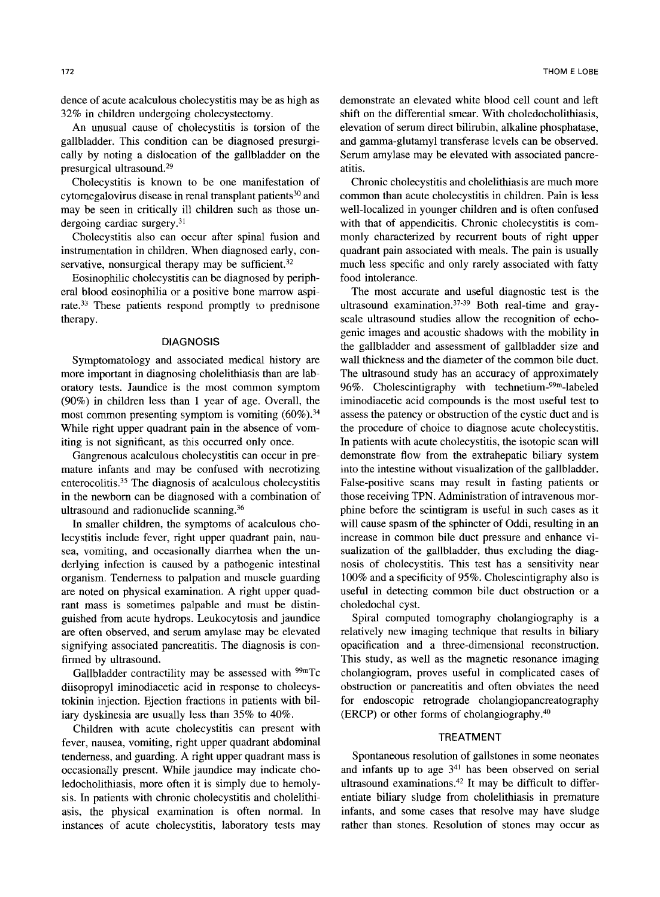dence of acute acalculous cholecystitis may be as high as 32% in children undergoing cholecystectomy.

An unusual cause of cholecystitis is torsion of the gallbladder. This condition can be diagnosed presurgically by noting a dislocation of the gallbladder on the presurgical ultrasound.29

Cholecystitis is known to be one manifestation of cytomegalovirus disease in renal transplant patients $30$  and may be seen in critically ill children such as those undergoing cardiac surgery.<sup>31</sup>

Cholecystitis also can occur after spinal fusion and instrumentation in children. When diagnosed early, conservative, nonsurgical therapy may be sufficient.<sup>32</sup>

Eosinophilic cholecystitis can be diagnosed by peripheral blood eosinophilia or a positive bone marrow aspirate.33 These patients respond promptly to prednisone therapy.

#### **DIAGNOSIS**

Symptomatology and associated medical history are more important in diagnosing cholelithiasis than are laboratory tests. Jaundice is the most common symptom (90%) in children less than I year of age. Overall, the most common presenting symptom is vomiting  $(60\%)$ .<sup>34</sup> While right upper quadrant pain in the absence of vomiting is not significant, as this occurred only once.

Gangrenous acalculous cholecystitis can occur in premature infants and may be confused with necrotizing enterocolitis.35 The diagnosis of acalculous cholecystitis in the newborn can be diagnosed with a combination of ultrasound and radionuclide scanning.36

In smaller children, the symptoms of acalculous cholecystitis include fever, right upper quadrant pain, nausea, vomiting, and occasionally diarrhea when the underlying infection is caused by a pathogenic intestinal organism. Tenderness to palpation and muscle guarding are noted on physical examination. A right upper quadrant mass is sometimes palpable and must be distinguished from acute hydrops. Leukocytosis and jaundice are often observed, and serum amylase may be elevated signifying associated pancreatitis. The diagnosis is confirmed by ultrasound.

Gallbladder contractility may be assessed with <sup>99m</sup>Tc diisopropyl iminodiacetic acid in response to cholecystokinin injection. Ejection fractions in patients with biliary dyskinesia are usually less than 35% to 40%.

Children with acute cholecystitis can present with fever, nausea, vomiting, right upper quadrant abdominal tenderness, and guarding. A right upper quadrant mass is occasionally present. While jaundice may indicate choledocholithiasis, more often it is simply due to hemolysis. In patients with chronic cholecystitis and cholelithiasis, the physical examination is often normal. In instances of acute cholecystitis, laboratory tests may demonstrate an elevated white blood cell count and left shift on the differential smear. With choledocholithiasis, elevation of serum direct bilirubin, alkaline phosphatase, and gamma-glutamyl transferase levels can be observed. Serum amylase may be elevated with associated pancreatitis.

Chronic cholecystitis and cholelithiasis are much more common than acute cholecystitis in children. Pain is less well-localized in younger children and is often confused with that of appendicitis. Chronic cholecystitis is commonly characterized by recurrent bouts of right upper quadrant pain associated with meals. The pain is usually much less specific and only rarely associated with fatty food intolerance.

The most accurate and useful diagnostic test is the ultrasound examination. $37-39$  Both real-time and grayscale ultrasound studies allow the recognition of echogenic images and acoustic shadows with the mobility in the gallbladder and assessment of gallbladder size and wall thickness and the diameter of the common bile duct. The ultrasound study has an accuracy of approximately 96%. Cholescintigraphy with technetium-99m-Iabeled iminodiacetic acid compounds is the most useful test to assess the patency or obstruction of the cystic duct and is the procedure of choice to diagnose acute cholecystitis. In patients with acute cholecystitis, the isotopic scan will demonstrate flow from the extrahepatic biliary system into the intestine without visualization of the gallbladder. False-positive scans may result in fasting patients or those receiving TPN. Administration of intravenous morphine before the scintigram is useful in such cases as it will cause spasm of the sphincter of Oddi, resulting in an increase in common bile duct pressure and enhance visualization of the gallbladder, thus excluding the diagnosis of cholecystitis. This test has a sensitivity near 100% and a specificity of 95%. Cholescintigraphy also is useful in detecting common bile duct obstruction or a choledochal cyst.

Spiral computed tomography cholangiography is a relatively new imaging technique that results in biliary opacification and a three-dimensional reconstruction. This study, as well as the magnetic resonance imaging cholangiogram, proves useful in complicated cases of obstruction or pancreatitis and often obviates the need for endoscopic retrograde cholangiopancreatography (ERCP) or other forms of cholangiography.4o

# TREATMENT

Spontaneous resolution of gallstones in some neonates and infants up to age 341 has been observed on serial ultrasound examinations.42 It may be difficult to differentiate biliary sludge from cholelithiasis in premature infants, and some cases that resolve may have sludge rather than stones. Resolution of stones may occur as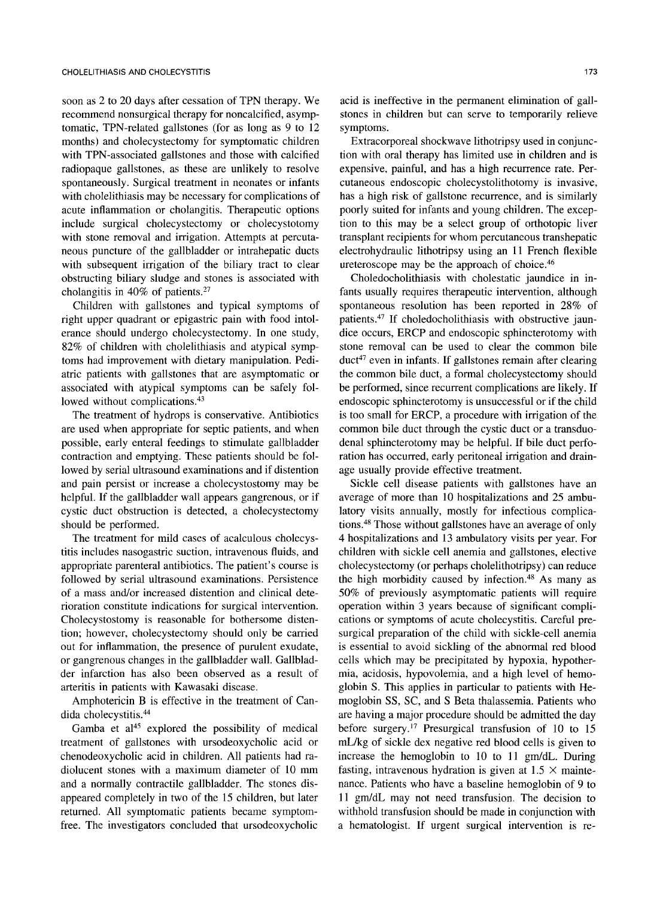soon as 2 to 20 days after cessation of TPN therapy. We recommend nonsurgical therapy for noncalcified, asymptomatic, TPN-related gallstones (for as long as 9 to 12 months) and cholecystectomy for symptomatic children with TPN-associated gallstones and those with calcified radiopaque gallstones, as these are unlikely to resolve spontaneously. Surgical treatment in neonates or infants with cholelithiasis may be necessary for complications of acute inflammation or cholangitis. Therapeutic options include surgical cholecystectomy or cholecystotomy with stone removal and irrigation. Attempts at percutaneous puncture of the gallbladder or intrahepatic ducts with subsequent irrigation of the biliary tract to clear obstructing biliary sludge and stones is associated with cholangitis in 40% of patients.27

Children with gallstones and typical symptoms of right upper quadrant or epigastric pain with food intolerance should undergo cholecystectomy. In one study, 82% of children with cholelithiasis and atypical symptoms had improvement with dietary manipulation. Pediatric patients with gallstones that are asymptomatic or associated with atypical symptoms can be safely followed without complications.<sup>43</sup>

The treatment of hydrops is conservative. Antibiotics are used when appropriate for septic patients, and when possible, early enteral feedings to stimulate gallbladder contraction and emptying. These patients should be followed by serial ultrasound examinations and if distention and pain persist or increase a cholecystostomy may be helpful. If the gallbladder wall appears gangrenous, or if cystic duct obstruction is detected, a cholecystectomy should be performed.

The treatment for mild cases of acalculous cholecystitis includes nasogastric suction, intravenous fluids, and appropriate parenteral antibiotics. The patient's course is followed by serial ultrasound examinations. Persistence of a mass and/or increased distention and clinical deterioration constitute indications for surgical intervention. Cholecystostomy is reasonable for bothersome distention; however, cholecystectomy should only be carried out for inflammation, the presence of purulent exudate, or gangrenous changes in the gallbladder wall. Gallbladder infarction has also been observed as a result of arteritis in patients with Kawasaki disease.

Amphotericin B is effective in the treatment of Candida cholecystitis.44

Gamba et al<sup>45</sup> explored the possibility of medical treatment of gallstones with ursodeoxycholic acid or chenodeoxycholic acid in children. All patients had radiolucent stones with a maximum diameter of 10 mm and a normally contractile gallbladder. The stones disappeared completely in two of the 15 children, but later returned. All symptomatic patients became symptomfree. The investigators concluded that ursodeoxycholic

acid is ineffective in the permanent elimination of gallstones in children but can serve to temporarily relieve symptoms.

Extracorporeal shockwave lithotripsy used in conjunction with oral therapy has limited use in children and is expensive, painful, and has a high recurrence rate. Percutaneous endoscopic cholecystolithotomy is invasive, has a high risk of gallstone recurrence, and is similarly poorly suited for infants and young children. The exception to this may be a select group of orthotopic liver transplant recipients for whom percutaneous transhepatic electrohydraulic lithotripsy using an 11 French flexible ureteroscope may be the approach of choice.46

Choledocholithiasis with cholestatic jaundice in infants usually requires therapeutic intervention, although spontaneous resolution has been reported in 28% of patients.47 If choledocholithiasis with obstructive jaundice occurs, ERCP and endoscopic sphincterotomy with stone removal can be used to clear the common bile duct<sup>47</sup> even in infants. If gallstones remain after clearing the common bile duct, a formal cholecystectomy should be performed, since recurrent complications are likely. If endoscopic sphincterotomy is unsuccessful or if the child is too small for ERCP, a procedure with irrigation of the common bile duct through the cystic duct or a transduodenal sphincterotomy may be helpful. If bile duct perforation has occurred, early peritoneal irrigation and drainage usually provide effective treatment.

Sickle cell disease patients with gallstones have an average of more than 10 hospitalizations and 25 ambulatory visits annually, mostly for infectious complications.48 Those without gallstones have an average of only 4 hospitalizations and 13 ambulatory visits per year. For children with sickle cell anemia and gallstones, elective cholecystectomy (or perhaps cholelithotripsy) can reduce the high morbidity caused by infection.<sup>48</sup> As many as 50% of previously asymptomatic patients will require operation within 3 years because of significant complications or symptoms of acute cholecystitis. Careful presurgical preparation of the child with sickle-cell anemia is essential to avoid sickling of the abnormal red blood cells which may be precipitated by hypoxia, hypothermia, acidosis, hypovolemia, and a high level of hemoglobin S. This applies in particular to patients with Hemoglobin SS, SC, and S Beta thalassemia. Patients who are having a major procedure should be admitted the day before surgery.17 Presurgical transfusion of 10 to 15 mLlkg of sickle dex negative red blood cells is given to increase the hemoglobin to  $10$  to  $11$  gm/dL. During fasting, intravenous hydration is given at  $1.5 \times$  maintenance. Patients who have a baseline hemoglobin of 9 to 11 gmldL may not need transfusion. The decision to withhold transfusion should be made in conjunction with a hematologist. If urgent surgical intervention is re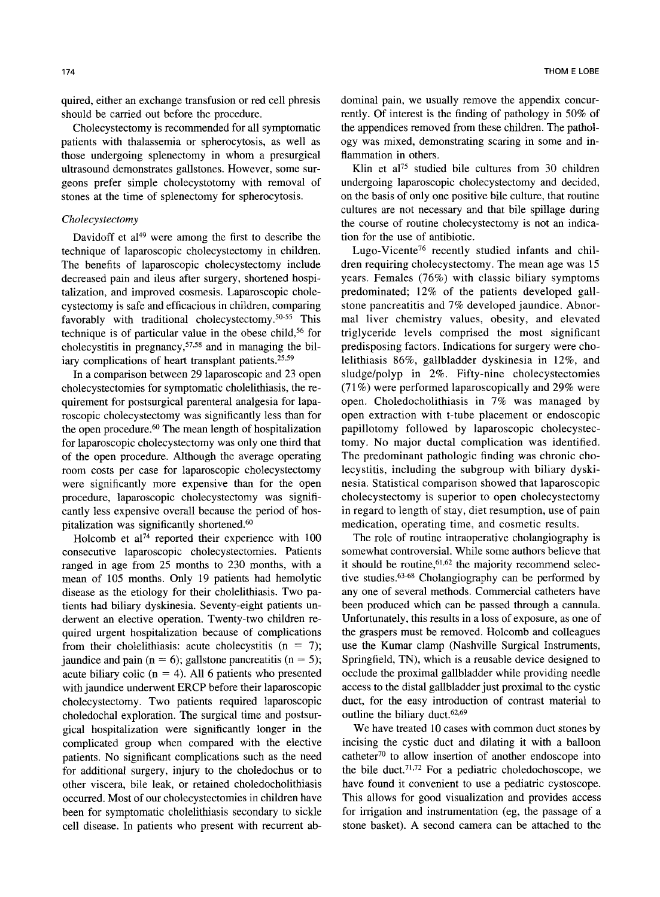quired, either an exchange transfusion or red cell phresis should be carried out before the procedure.

Cholecystectomy is recommended for all symptomatic patients with thalassemia or spherocytosis, as well as those undergoing splenectomy in whom a presurgical ultrasound demonstrates gallstones. However, some surgeons prefer simple cholecystotomy with removal of stones at the time of splenectomy for spherocytosis.

## *Cholecystectomy*

Davidoff et  $al^{49}$  were among the first to describe the technique of laparoscopic cholecystectomy in children. The benefits of laparoscopic cholecystectomy include decreased pain and ileus after surgery, shortened hospitalization, and improved cosmesis. Laparoscopic cholecystectomy is safe and efficacious in children, comparing favorably with traditional cholecystectomy.<sup>50-55</sup> This technique is of particular value in the obese child,<sup>56</sup> for cholecystitis in pregnancy,57,58 and in managing the biliary complications of heart transplant patients.<sup>25,59</sup>

In a comparison between 29 laparoscopic and 23 open cholecystectomies for symptomatic cholelithiasis, the requirement for postsurgical parenteral analgesia for laparoscopic cholecystectomy was significantly less than for the open procedure.<sup>60</sup> The mean length of hospitalization for laparoscopic cholecystectomy was only one third that of the open procedure. Although the average operating room costs per case for laparoscopic cholecystectomy were significantly more expensive than for the open procedure, laparoscopic cholecystectomy was significantly less expensive overall because the period of hospitalization was significantly shortened.<sup>60</sup>

Holcomb et al<sup>74</sup> reported their experience with  $100$ consecutive laparoscopic cholecystectomies. Patients ranged in age from 25 months to 230 months, with a mean of 105 months. Only 19 patients had hemolytic disease as the etiology for their cholelithiasis. Two patients had biliary dyskinesia. Seventy-eight patients underwent an elective operation. Twenty-two children required urgent hospitalization because of complications from their cholelithiasis: acute cholecystitis  $(n = 7)$ ; jaundice and pain ( $n = 6$ ); gallstone pancreatitis ( $n = 5$ ); acute biliary colic ( $n = 4$ ). All 6 patients who presented with jaundice underwent ERCP before their laparoscopic cholecystectomy. Two patients required laparoscopic choledochal exploration. The surgical time and postsurgical hospitalization were significantly longer in the complicated group when compared with the elective patients. No significant complications such as the need for additional surgery, injury to the choledochus or to other viscera, bile leak, or retained choledocholithiasis occurred. Most of our cholecystectomies in children have been for symptomatic cholelithiasis secondary to sickle cell disease. In patients who present with recurrent abdominal pain, we usually remove the appendix concurrently. Of interest is the finding of pathology in 50% of the appendices removed from these children. The pathology was mixed, demonstrating scaring in some and inflammation in others.

Klin et al<sup>75</sup> studied bile cultures from 30 children undergoing laparoscopic cholecystectomy and decided, on the basis of only one positive bile culture, that routine cultures are not necessary and that bile spillage during the course of routine cholecystectomy is not an indication for the use of antibiotic.

Lugo-Vicente76 recently studied infants and children requiring cholecystectomy. The mean age was 15 years. Females (76%) with classic biliary symptoms predominated; 12% of the patients developed gallstone pancreatitis and 7% developed jaundice. Abnormal liver chemistry values, obesity, and elevated triglyceride levels comprised the most significant predisposing factors. Indications for surgery were cholelithiasis 86%, gallbladder dyskinesia in 12%, and sludge/polyp in 2%. Fifty-nine cholecystectomies (71 %) were performed laparoscopically and 29% were open. Choledocholithiasis in 7% was managed by open extraction with t-tube placement or endoscopic papillotomy followed by laparoscopic cholecystectomy. No major ductal complication was identified. The predominant pathologic finding was chronic cholecystitis, including the subgroup with biliary dyskinesia. Statistical comparison showed that laparoscopic cholecystectomy is superior to open cholecystectomy in regard to length of stay, diet resumption, use of pain medication, operating time, and cosmetic results.

The role of routine intraoperative cholangiography is somewhat controversial. While some authors believe that it should be routine,  $61,62$  the majority recommend selective studies.63- 68 Cholangiography can be performed by any one of several methods. Commercial catheters have been produced which can be passed through a cannula. Unfortunately, this results in a loss of exposure, as one of the graspers must be removed. Holcomb and colleagues use the Kumar clamp (Nashville Surgical Instruments, Springfield, TN), which is a reusable device designed to occlude the proximal gallbladder while providing needle access to the distal gallbladder just proximal to the cystic duct, for the easy introduction of contrast material to outline the biliary duct.<sup>62,69</sup>

We have treated 10 cases with common duct stones by incising the cystic duct and dilating it with a balloon catheter<sup>70</sup> to allow insertion of another endoscope into the bile duct.<sup>71,72</sup> For a pediatric choledochoscope, we have found it convenient to use a pediatric cystoscope. This allows for good visualization and provides access for irrigation and instrumentation (eg, the passage of a stone basket). A second camera can be attached to the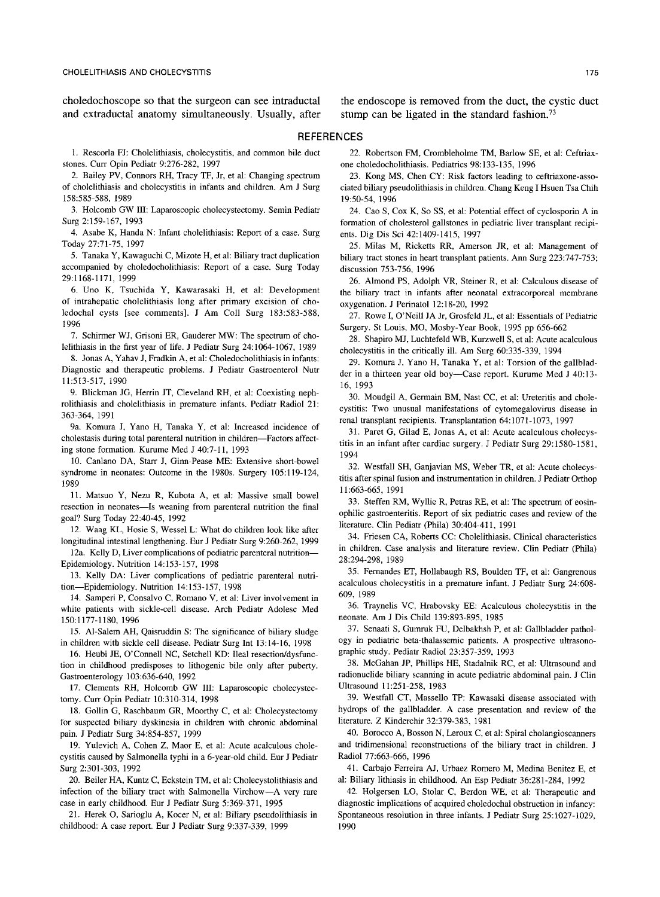CHOLELITHIASIS AND CHOLECYSTITIS

choledochoscope so that the surgeon can see intraductal and extraductal anatomy simultaneously. Usually, after

1. Rescorla FJ: Cholelithiasis, cholecystitis, and common bile duct stones. Curr Opin Pediatr 9:276-282, 1997

2. Bailey PY, Connors RH, Tracy TF, Jr, et al: Changing spectrum of cholelithiasis and cholecystitis in infants and children. Am J Surg 158:585-588, 1989

3. Holcomb GW III: Laparoscopic cholecystectomy. Semin Pediatr Surg 2:159-167, 1993

4. Asabe K, Handa N: Infant cholelithiasis: Report of a case. Surg Today 27:71-75, 1997

5. Tanaka Y, Kawaguchi C, Mizote H, et al: Biliary tract duplication accompanied by choledocholithiasis: Report of a case. Surg Today 29:1168-1171, 1999

6. Uno K, Tsuchida Y, Kawarasaki H, et al: Development of intrahepatic cholelithiasis long after primary excision of choledochal cysts [see comments]. J Am Coli Surg 183:583-588, 1996

7. Schirmer WJ, Grisoni ER, Gauderer MW: The spectrum of cholelithiasis in the first year of life. J Pediatr Surg 24:1064-1067, 1989

8. Jonas A, Yahav J, Fradkin A, et al: Choledocholithiasis in infants: Diagnostic and therapeutic problems. J Pediatr Gastroenterol Nutr 11:513-517, 1990

9. Blickman JG, Herrin JT, Cleveland RH, et al: Coexisting nephrolithiasis and cholelithiasis in premature infants. Pediatr Radiol 21: 363-364, 1991

9a. Komura J, Yano H, Tanaka Y, et al: Increased incidence of cholestasis during total parenteral nutrition in children-Factors affecting stone formation. Kurume Med J 40:7-11, 1993

10. Canlano DA, Starr J, Ginn-Pease ME: Extensive short-bowel syndrome in neonates: Outcome in the 1980s. Surgery 105:119-124, 1989

11. Matsuo Y, Nezu R, Kubota A, et al: Massive small bowel resection in neonates-Is weaning from parenteral nutrition the final goal? Surg Today 22:40-45, 1992

12. Waag KL, Hosie S, Wessel L: What do children look like after longitudinal intestinal lengthening. Eur J Pediatr Surg 9:260-262, 1999

12a. Kelly D, Liver complications of pediatric parenteral nutrition-Epidemiology. Nutrition 14:153-157, 1998

13. Kelly DA: Liver complications of pediatric parenteral nutrition-Epidemiology. Nutrition 14:153-157, 1998

14. Samperi P, Consalvo C, Romano Y, et al: Liver involvement in white patients with sickle-cell disease. Arch Pediatr Adolesc Med 150: 1177-1180, 1996

15. AI-Salem AH, Qaisruddin S: The significance of biliary sludge in children with sickle cell disease. Pediatr Surg Int 13: 14-16, 1998

16. Heubi JE, O'Connell NC, Setchell KD: Ileal resection/dysfunction in childhood predisposes to lithogenic bile only after puberty. Gastroenterology 103:636-640, 1992

17. Clements RH, Holcomb GW Ill: Laparoscopic cholecystectomy. Curr Opin Pediatr 10:310-314, 1998

18. Gollin G, Raschbaum GR, Moorthy C, et al: Cholecystectomy for suspected biliary dyskinesia in children with chronic abdominal pain. J Pediatr Surg 34:854-857, 1999

19. Yulevich A, Cohen Z, Maor E, et al: Acute acalculous cholecystitis caused by Salmonella typhi in a 6-year-old child. Eur J Pediatr Surg 2:301-303, 1992

20. Beiler HA, Kuntz C, Eckstein TM, et al: Cholecystolithiasis and infection of the biliary tract with Salmonella Yirchow-A very rare case in early childhood. Eur J Pediatr Surg 5:369-371, 1995

21. Herek 0, Sarioglu A, Kocer N, et al: Biliary pseudolithiasis in childhood: A case report. Eur J Pediatr Surg 9:337-339, 1999

the endoscope is removed from the duct, the cystic duct stump can be ligated in the standard fashion.<sup>73</sup>

## REFERENCES

22. Robertson FM, Crombleholme TM, Barlow SE, et al: Ceftriaxone choledocholithiasis. Pediatrics 98: 133-135, 1996

23. Kong MS, Chen CY: Risk factors leading to ceftriaxone-associated biliary pseudolithiasis in children. Chang Keng I Hsuen Tsa Chih 19:50-54, 1996

24. Cao S, Cox K, So *SS ,* et al: Potential effect of cyclosporin A in formation of cholesterol gallstones in pediatric liver transplant recipients. Dig Dis Sci 42:1409-1415, 1997

25. Milas M, Ricketts RR, Amerson JR, et al: Management of biliary tract stones in heart transplant patients. Ann Surg 223:747-753; discussion 753-756, 1996

26. Almond PS, Adolph YR, Steiner R, et al: Calculous disease of the biliary tract in infants after neonatal extracorporeal membrane oxygenation. J Perinatol 12:18-20, 1992

27. Rowe I, O'Neill JA Jr, Grosfeld JL, et al: Essentials of Pediatric Surgery. St Louis, MO, Mosby-Year Book, 1995 pp 656-662

28. Shapiro MJ, Luchtefeld WB, Kurzwell S, et al: Acute acalculous cholecystitis in the critically ill. Am Surg 60:335-339, 1994

29. Komura J, Yano H, Tanaka Y, et al: Torsion of the gallbladder in a thirteen year old boy-Case report. Kurume Med J 40:13-16, 1993

30. Moudgil A, Germain BM, Nast CC, et al: Ureteritis and cholecystitis: Two unusual manifestations of cytomegalovirus disease in renal transplant recipients. Transplantation 64:1071-1073, 1997

31. Paret G, Gilad E, Jonas A, et al: Acute acalculous cholecystitis in an infant after cardiac surgery. J Pediatr Surg 29:1580-1581, 1994

32. Westfall SH, Ganjavian MS, Weber TR, et al: Acute cholecystitis after spinal fusion and instrumentation in children. J Pediatr Orthop II :663-665, 1991

33. Steffen RM, Wyllie R, Petras RE, et al: The spectrum of eosinophilic gastroenteritis. Report of six pediatric cases and review of the literature. Clin Pediatr (Phila) 30:404-411, 1991

34. Friesen CA, Roberts CC: Cholelithiasis. Clinical characteristics in children. Case analysis and literature review. Clin Pediatr (Phila) 28:294-298, 1989

35. Fernandes ET, Hollabaugh RS, Boulden TF, et al: Gangrenous acalculous cholecystitis in a premature infant. J Pediatr Surg 24:608- 609, 1989

36. Traynelis YC, Hrabovsky EE: Acalculous cholecystitis in the neonate. Am J Dis Child 139:893-895, 1985

37. Senaati S, Gumruk FU, Delbakhsh P, et al: Gallbladder pathology in pediatric beta-thalassemic patients. A prospective ultrasonographic study. Pediatr Radiol 23:357-359, 1993

38. McGahan JP, Phillips HE, Stadalnik RC, et al: Ultrasound and radionuclide biliary scanning in acute pediatric abdominal pain. J Clin Ultrasound 11:251-258, 1983

39. Westfall CT, Massello TP: Kawasaki disease associated with hydrops of the gallbladder. A case presentation and review of the literature. Z Kinderchir 32:379-383, 1981

40. Borocco A, Bosson N, Leroux C, et al: Spiral cholangioscanners and tridimensional reconstructions of the biliary tract in children. J Radiol 77:663-666, 1996

41. Carbajo Ferreira AJ, Urbaez Romero M, Medina Benitez E, et al: Biliary lithiasis in childhood. An Esp Pediatr 36:281-284, 1992

42. Holgersen LO, Stolar C, Berdon WE, et al: Therapeutic and diagnostic implications of acquired choledochal obstruction in infancy: Spontaneous resolution in three infants. J Pediatr Surg 25:1027-1029, 1990